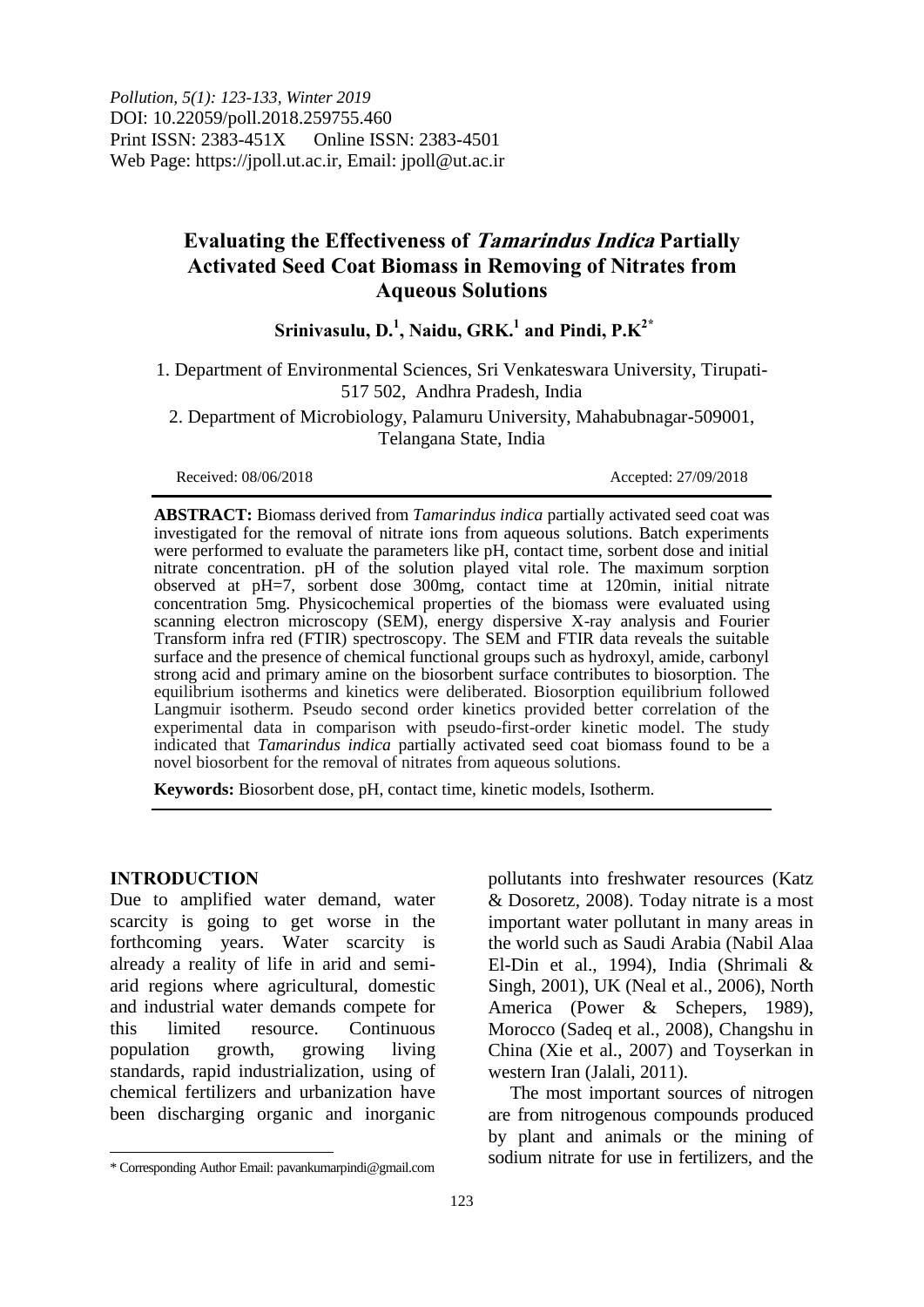*Pollution, 5(1): 123-133, Winter 2019* DOI: 10.22059/poll.2018.259755.460 Print ISSN: 2383-451X Online ISSN: 2383-4501 Web Page: https://jpoll.ut.ac.ir, Email: jpoll@ut.ac.ir

# **Evaluating the Effectiveness of Tamarindus Indica Partially Activated Seed Coat Biomass in Removing of Nitrates from Aqueous Solutions**

## **Srinivasulu, D. 1 , Naidu, GRK. 1 and Pindi, P.K2\***

1. Department of Environmental Sciences, Sri Venkateswara University, Tirupati-517 502, Andhra Pradesh, India

2. Department of Microbiology, Palamuru University, Mahabubnagar-509001, Telangana State, India

Received: 08/06/2018 Accepted: 27/09/2018

**ABSTRACT:** Biomass derived from *Tamarindus indica* partially activated seed coat was investigated for the removal of nitrate ions from aqueous solutions. Batch experiments were performed to evaluate the parameters like pH, contact time, sorbent dose and initial nitrate concentration. pH of the solution played vital role. The maximum sorption observed at pH=7, sorbent dose 300mg, contact time at 120min, initial nitrate concentration 5mg. Physicochemical properties of the biomass were evaluated using scanning electron microscopy (SEM), energy dispersive X-ray analysis and Fourier Transform infra red (FTIR) spectroscopy. The SEM and FTIR data reveals the suitable surface and the presence of chemical functional groups such as hydroxyl, amide, carbonyl strong acid and primary amine on the biosorbent surface contributes to biosorption. The equilibrium isotherms and kinetics were deliberated. Biosorption equilibrium followed Langmuir isotherm. Pseudo second order kinetics provided better correlation of the experimental data in comparison with pseudo-first-order kinetic model. The study indicated that *Tamarindus indica* partially activated seed coat biomass found to be a novel biosorbent for the removal of nitrates from aqueous solutions.

**Keywords:** Biosorbent dose, pH, contact time, kinetic models, Isotherm.

#### **INTRODUCTION**

 $\overline{\phantom{a}}$ 

Due to amplified water demand, water scarcity is going to get worse in the forthcoming years. Water scarcity is already a reality of life in arid and semiarid regions where agricultural, domestic and industrial water demands compete for this limited resource. Continuous population growth, growing living standards, rapid industrialization, using of chemical fertilizers and urbanization have been discharging organic and inorganic

pollutants into freshwater resources (Katz & Dosoretz, 2008). Today nitrate is a most important water pollutant in many areas in the world such as Saudi Arabia (Nabil Alaa El-Din et al., 1994), India (Shrimali & Singh, 2001), UK (Neal et al., 2006), North America (Power & Schepers, 1989), Morocco (Sadeq et al., 2008), Changshu in China (Xie et al., 2007) and Toyserkan in western Iran (Jalali, 2011).

The most important sources of nitrogen are from nitrogenous compounds produced by plant and animals or the mining of sodium nitrate for use in fertilizers, and the

<sup>\*</sup> Corresponding Author Email: pavankumarpindi@gmail.com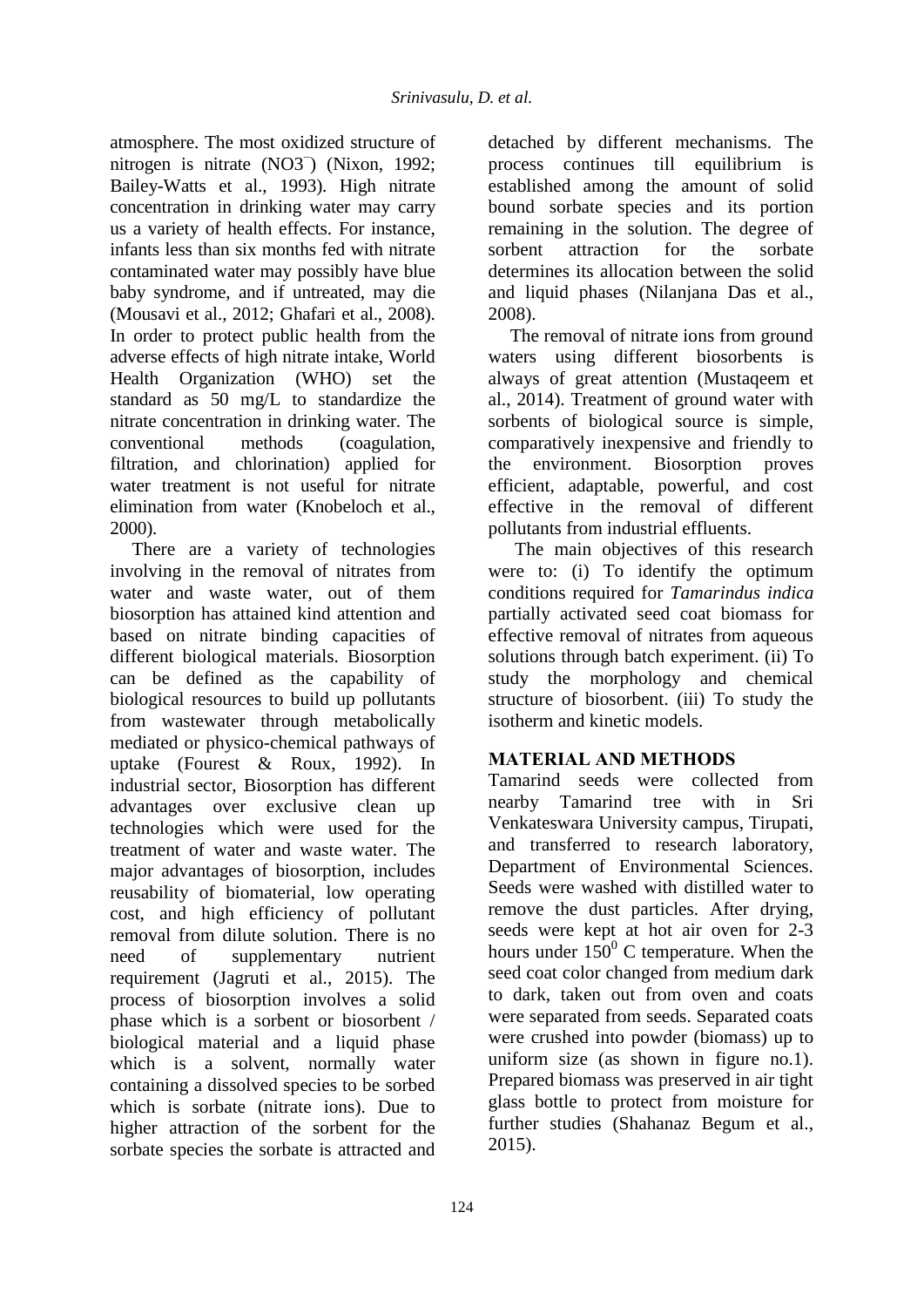atmosphere. The most oxidized structure of nitrogen is nitrate (NO3<sup>−</sup> ) (Nixon, 1992; Bailey-Watts et al., 1993). High nitrate concentration in drinking water may carry us a variety of health effects. For instance, infants less than six months fed with nitrate contaminated water may possibly have blue baby syndrome, and if untreated, may die (Mousavi et al., 2012; Ghafari et al., 2008). In order to protect public health from the adverse effects of high nitrate intake, World Health Organization (WHO) set the standard as 50 mg/L to standardize the nitrate concentration in drinking water. The conventional methods (coagulation, filtration, and chlorination) applied for water treatment is not useful for nitrate elimination from water (Knobeloch et al., 2000).

There are a variety of technologies involving in the removal of nitrates from water and waste water, out of them biosorption has attained kind attention and based on nitrate binding capacities of different biological materials. Biosorption can be defined as the capability of biological resources to build up pollutants from wastewater through metabolically mediated or physico-chemical pathways of uptake (Fourest & Roux, 1992). In industrial sector, Biosorption has different advantages over exclusive clean up technologies which were used for the treatment of water and waste water. The major advantages of biosorption, includes reusability of biomaterial, low operating cost, and high efficiency of pollutant removal from dilute solution. There is no need of supplementary nutrient requirement (Jagruti et al., 2015). The process of biosorption involves a solid phase which is a sorbent or biosorbent / biological material and a liquid phase which is a solvent, normally water containing a dissolved species to be sorbed which is sorbate (nitrate ions). Due to higher attraction of the sorbent for the sorbate species the sorbate is attracted and

detached by different mechanisms. The process continues till equilibrium is established among the amount of solid bound sorbate species and its portion remaining in the solution. The degree of sorbent attraction for the sorbate determines its allocation between the solid and liquid phases (Nilanjana Das et al., 2008).

The removal of nitrate ions from ground waters using different biosorbents is always of great attention (Mustaqeem et al., 2014). Treatment of ground water with sorbents of biological source is simple, comparatively inexpensive and friendly to the environment. Biosorption proves efficient, adaptable, powerful, and cost effective in the removal of different pollutants from industrial effluents.

The main objectives of this research were to: (i) To identify the optimum conditions required for *Tamarindus indica*  partially activated seed coat biomass for effective removal of nitrates from aqueous solutions through batch experiment. (ii) To study the morphology and chemical structure of biosorbent. (iii) To study the isotherm and kinetic models.

## **MATERIAL AND METHODS**

Tamarind seeds were collected from nearby Tamarind tree with in Sri Venkateswara University campus, Tirupati, and transferred to research laboratory, Department of Environmental Sciences. Seeds were washed with distilled water to remove the dust particles. After drying, seeds were kept at hot air oven for 2-3 hours under  $150^{\circ}$  C temperature. When the seed coat color changed from medium dark to dark, taken out from oven and coats were separated from seeds. Separated coats were crushed into powder (biomass) up to uniform size (as shown in figure no.1). Prepared biomass was preserved in air tight glass bottle to protect from moisture for further studies (Shahanaz Begum et al., 2015).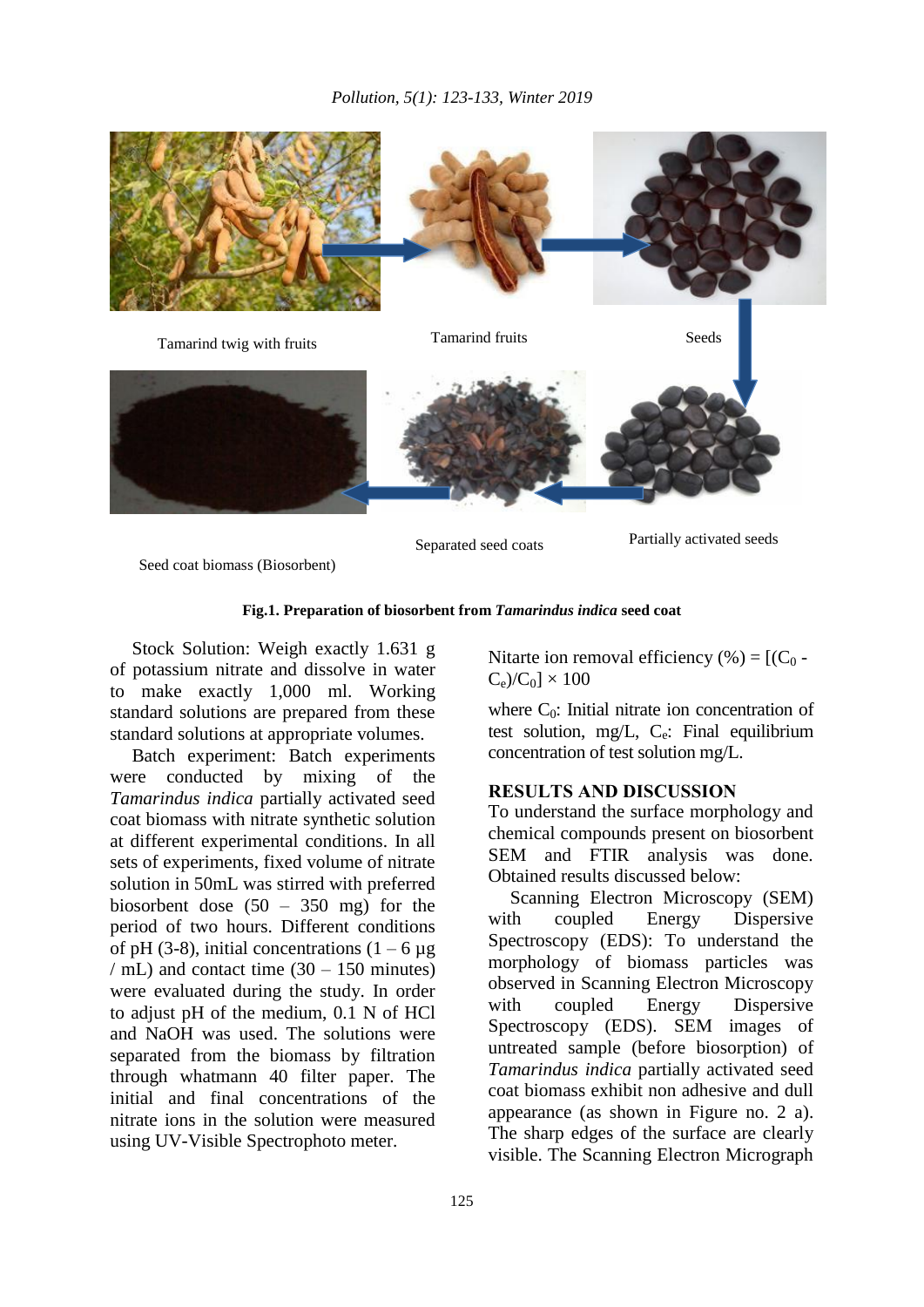

Separated seed coats Partially activated seeds

Seed coat biomass (Biosorbent)

#### **Fig.1. Preparation of biosorbent from** *Tamarindus indica* **seed coat**

Stock Solution: Weigh exactly 1.631 g of potassium nitrate and dissolve in water to make exactly 1,000 ml. Working standard solutions are prepared from these standard solutions at appropriate volumes.

Batch experiment: Batch experiments were conducted by mixing of the *Tamarindus indica* partially activated seed coat biomass with nitrate synthetic solution at different experimental conditions. In all sets of experiments, fixed volume of nitrate solution in 50mL was stirred with preferred biosorbent dose (50 – 350 mg) for the period of two hours. Different conditions of pH (3-8), initial concentrations  $(1 - 6 \mu g)$ / mL) and contact time  $(30 – 150$  minutes) were evaluated during the study. In order to adjust pH of the medium, 0.1 N of HCl and NaOH was used. The solutions were separated from the biomass by filtration through whatmann 40 filter paper. The initial and final concentrations of the nitrate ions in the solution were measured using UV-Visible Spectrophoto meter.

Nitarte ion removal efficiency  $(\% ) = [(C_0 C_e$ )/ $C_0$ ]  $\times$  100

where  $C_0$ : Initial nitrate ion concentration of test solution, mg/L,  $C_e$ : Final equilibrium concentration of test solution mg/L.

#### **RESULTS AND DISCUSSION**

To understand the surface morphology and chemical compounds present on biosorbent SEM and FTIR analysis was done. Obtained results discussed below:

Scanning Electron Microscopy (SEM) with coupled Energy Dispersive Spectroscopy (EDS): To understand the morphology of biomass particles was observed in Scanning Electron Microscopy with coupled Energy Dispersive Spectroscopy (EDS). SEM images of untreated sample (before biosorption) of *Tamarindus indica* partially activated seed coat biomass exhibit non adhesive and dull appearance (as shown in Figure no. 2 a). The sharp edges of the surface are clearly visible. The Scanning Electron Micrograph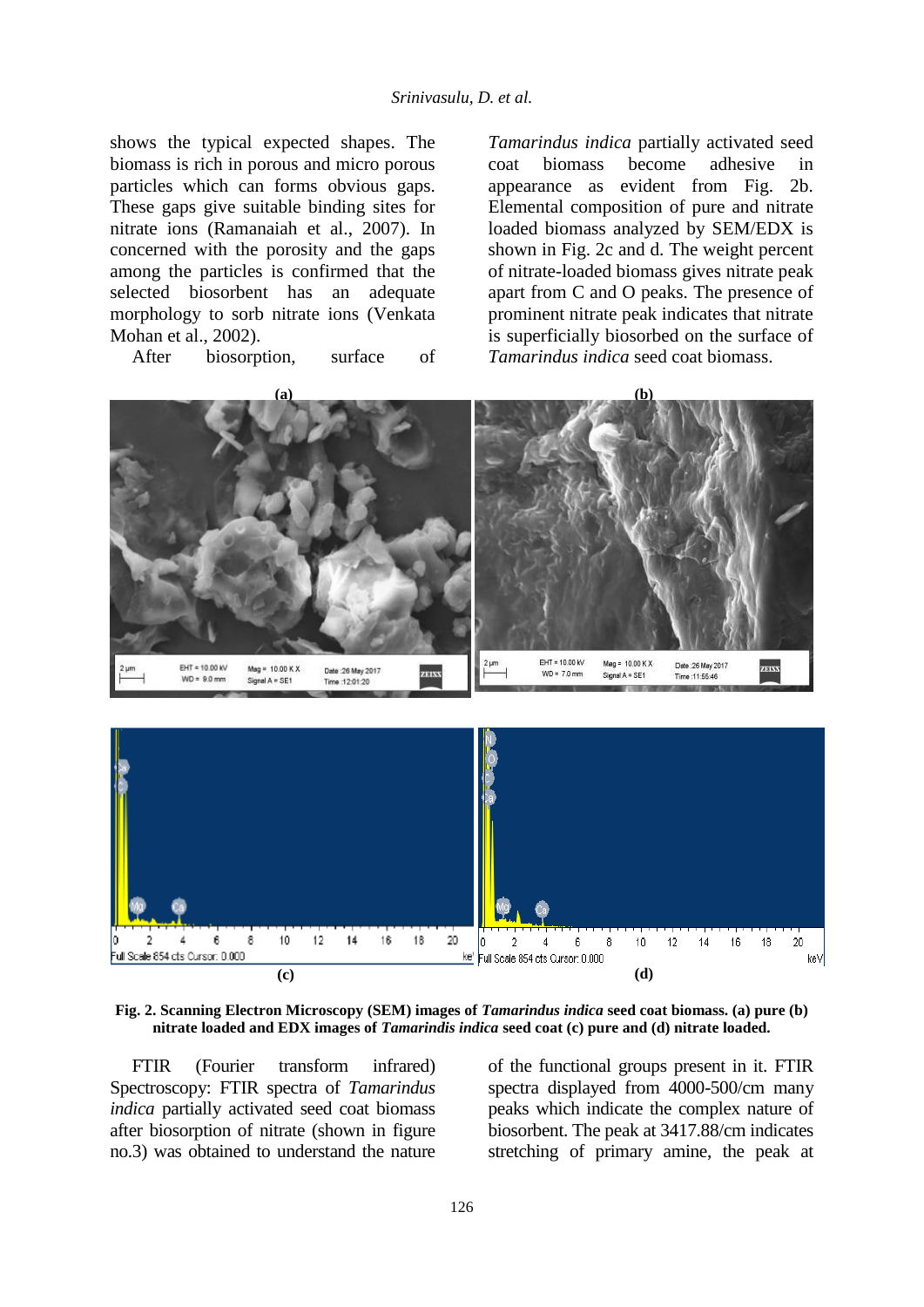shows the typical expected shapes. The biomass is rich in porous and micro porous particles which can forms obvious gaps. These gaps give suitable binding sites for nitrate ions (Ramanaiah et al., 2007). In concerned with the porosity and the gaps among the particles is confirmed that the selected biosorbent has an adequate morphology to sorb nitrate ions (Venkata Mohan et al., 2002).

After biosorption, surface of

*Tamarindus indica* partially activated seed coat biomass become adhesive in appearance as evident from Fig. 2b. Elemental composition of pure and nitrate loaded biomass analyzed by SEM/EDX is shown in Fig. 2c and d. The weight percent of nitrate-loaded biomass gives nitrate peak apart from C and O peaks. The presence of prominent nitrate peak indicates that nitrate is superficially biosorbed on the surface of *Tamarindus indica* seed coat biomass.





**Fig. 2. Scanning Electron Microscopy (SEM) images of** *Tamarindus indica* **seed coat biomass. (a) pure (b) nitrate loaded and EDX images of** *Tamarindis indica* **seed coat (c) pure and (d) nitrate loaded.**

FTIR (Fourier transform infrared) Spectroscopy: FTIR spectra of *Tamarindus indica* partially activated seed coat biomass after biosorption of nitrate (shown in figure no.3) was obtained to understand the nature of the functional groups present in it. FTIR spectra displayed from 4000-500/cm many peaks which indicate the complex nature of biosorbent. The peak at 3417.88/cm indicates stretching of primary amine, the peak at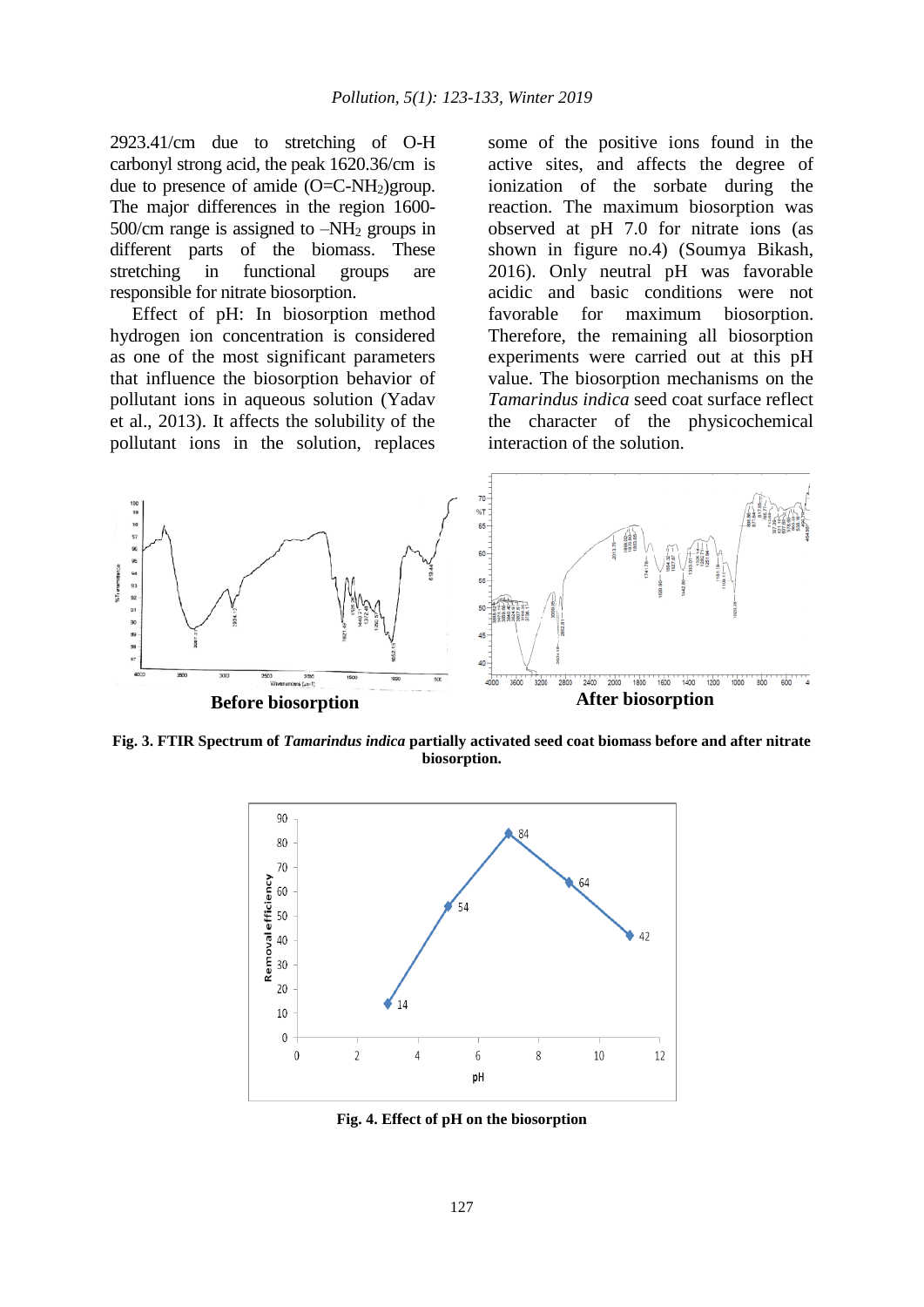2923.41/cm due to stretching of O-H carbonyl strong acid, the peak 1620.36/cm is due to presence of amide  $(O=C-NH<sub>2</sub>)$ group. The major differences in the region 1600- 500/cm range is assigned to  $-NH<sub>2</sub>$  groups in different parts of the biomass. These stretching in functional groups are responsible for nitrate biosorption.

Effect of pH: In biosorption method hydrogen ion concentration is considered as one of the most significant parameters that influence the biosorption behavior of pollutant ions in aqueous solution (Yadav et al., 2013). It affects the solubility of the pollutant ions in the solution, replaces some of the positive ions found in the active sites, and affects the degree of ionization of the sorbate during the reaction. The maximum biosorption was observed at pH 7.0 for nitrate ions (as shown in figure no.4) (Soumya Bikash, 2016). Only neutral pH was favorable acidic and basic conditions were not favorable for maximum biosorption. Therefore, the remaining all biosorption experiments were carried out at this pH value. The biosorption mechanisms on the *Tamarindus indica* seed coat surface reflect the character of the physicochemical interaction of the solution.



**Fig. 3. FTIR Spectrum of** *Tamarindus indica* **partially activated seed coat biomass before and after nitrate biosorption.**



**Fig. 4. Effect of pH on the biosorption**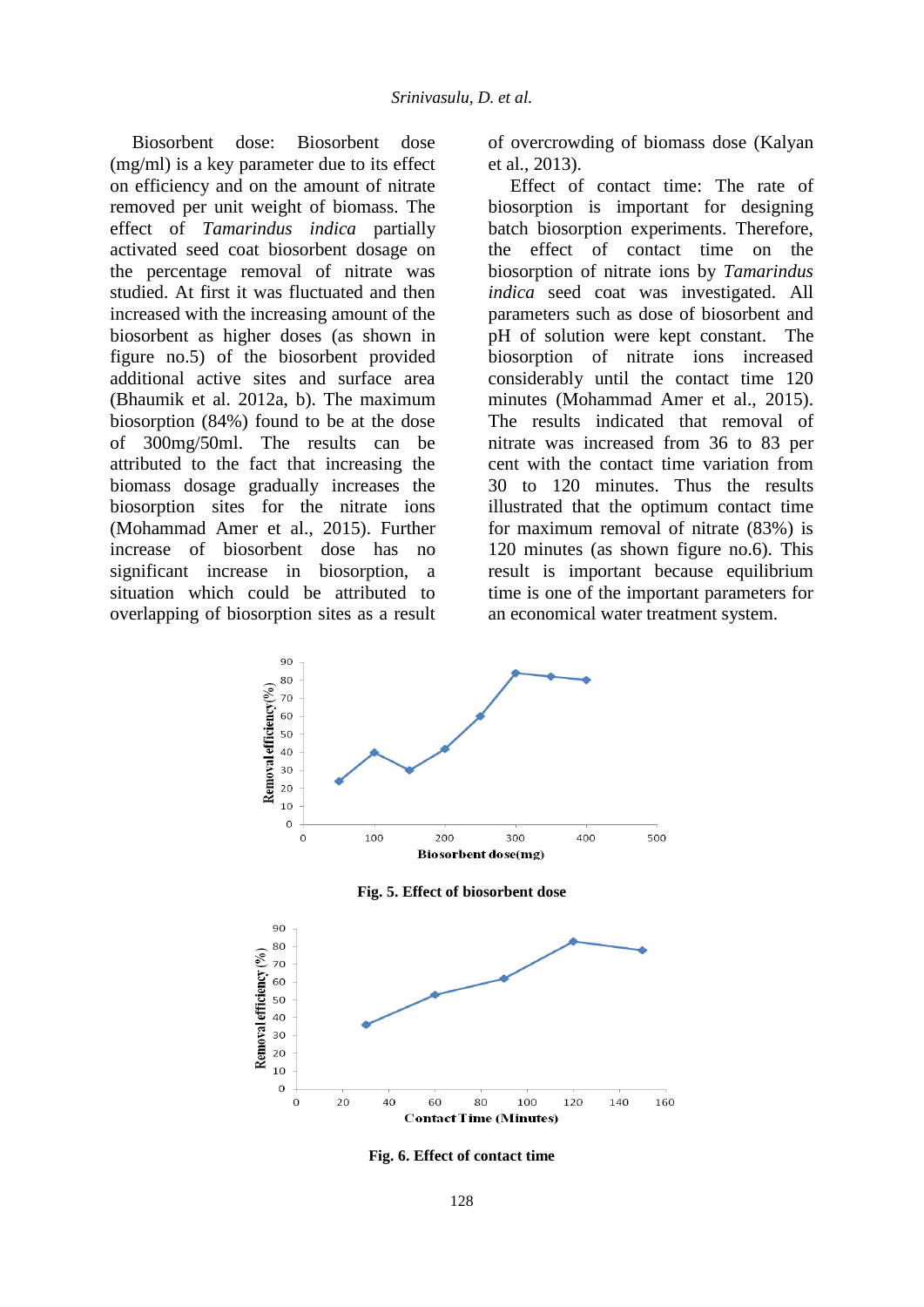Biosorbent dose: Biosorbent dose (mg/ml) is a key parameter due to its effect on efficiency and on the amount of nitrate removed per unit weight of biomass. The effect of *Tamarindus indica* partially activated seed coat biosorbent dosage on the percentage removal of nitrate was studied. At first it was fluctuated and then increased with the increasing amount of the biosorbent as higher doses (as shown in figure no.5) of the biosorbent provided additional active sites and surface area (Bhaumik et al. 2012a, b). The maximum biosorption (84%) found to be at the dose of 300mg/50ml. The results can be attributed to the fact that increasing the biomass dosage gradually increases the biosorption sites for the nitrate ions (Mohammad Amer et al., 2015). Further increase of biosorbent dose has no significant increase in biosorption, a situation which could be attributed to overlapping of biosorption sites as a result

of overcrowding of biomass dose (Kalyan et al., 2013).

Effect of contact time: The rate of biosorption is important for designing batch biosorption experiments. Therefore, the effect of contact time on the biosorption of nitrate ions by *Tamarindus indica* seed coat was investigated. All parameters such as dose of biosorbent and pH of solution were kept constant. The biosorption of nitrate ions increased considerably until the contact time 120 minutes (Mohammad Amer et al., 2015). The results indicated that removal of nitrate was increased from 36 to 83 per cent with the contact time variation from 30 to 120 minutes. Thus the results illustrated that the optimum contact time for maximum removal of nitrate (83%) is 120 minutes (as shown figure no.6). This result is important because equilibrium time is one of the important parameters for an economical water treatment system.



**Fig. 6. Effect of contact time**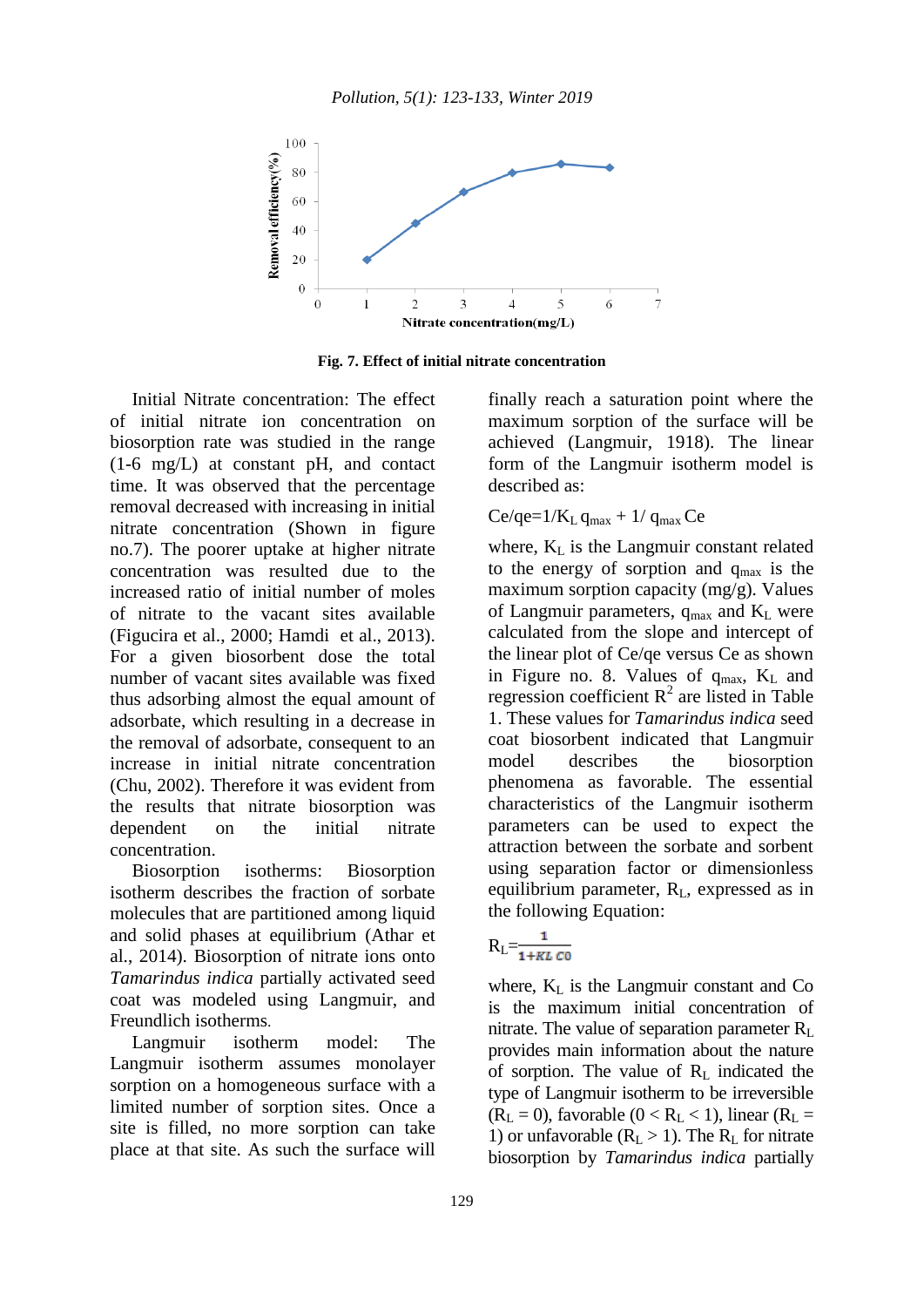

**Fig. 7. Effect of initial nitrate concentration** 

Initial Nitrate concentration: The effect of initial nitrate ion concentration on biosorption rate was studied in the range (1-6 mg/L) at constant pH, and contact time. It was observed that the percentage removal decreased with increasing in initial nitrate concentration (Shown in figure no.7). The poorer uptake at higher nitrate concentration was resulted due to the increased ratio of initial number of moles of nitrate to the vacant sites available (Figucira et al., 2000; Hamdi et al., 2013). For a given biosorbent dose the total number of vacant sites available was fixed thus adsorbing almost the equal amount of adsorbate, which resulting in a decrease in the removal of adsorbate, consequent to an increase in initial nitrate concentration (Chu, 2002). Therefore it was evident from the results that nitrate biosorption was dependent on the initial nitrate concentration.

Biosorption isotherms: Biosorption isotherm describes the fraction of sorbate molecules that are partitioned among liquid and solid phases at equilibrium (Athar et al., 2014). Biosorption of nitrate ions onto *Tamarindus indica* partially activated seed coat was modeled using Langmuir, and Freundlich isotherms.

Langmuir isotherm model: The Langmuir isotherm assumes monolayer sorption on a homogeneous surface with a limited number of sorption sites. Once a site is filled, no more sorption can take place at that site. As such the surface will finally reach a saturation point where the maximum sorption of the surface will be achieved (Langmuir, 1918). The linear form of the Langmuir isotherm model is described as:

#### $Ce/qe=1/K_L q_{max} + 1/q_{max}Ce$

where,  $K<sub>L</sub>$  is the Langmuir constant related to the energy of sorption and  $q_{\text{max}}$  is the maximum sorption capacity (mg/g). Values of Langmuir parameters,  $q_{max}$  and  $K_L$  were calculated from the slope and intercept of the linear plot of Ce/qe versus Ce as shown in Figure no. 8. Values of  $q_{max}$ ,  $K_L$  and regression coefficient  $R^2$  are listed in Table 1. These values for *Tamarindus indica* seed coat biosorbent indicated that Langmuir model describes the biosorption phenomena as favorable. The essential characteristics of the Langmuir isotherm parameters can be used to expect the attraction between the sorbate and sorbent using separation factor or dimensionless equilibrium parameter, RL, expressed as in the following Equation:

$$
R_{L}=\frac{1}{1+KL\,C0}
$$

where,  $K_L$  is the Langmuir constant and Co is the maximum initial concentration of nitrate. The value of separation parameter  $R_L$ provides main information about the nature of sorption. The value of  $R<sub>L</sub>$  indicated the type of Langmuir isotherm to be irreversible  $(R_L = 0)$ , favorable  $(0 < R_L < 1)$ , linear  $(R_L = 1)$ 1) or unfavorable  $(R<sub>L</sub> > 1)$ . The  $R<sub>L</sub>$  for nitrate biosorption by *Tamarindus indica* partially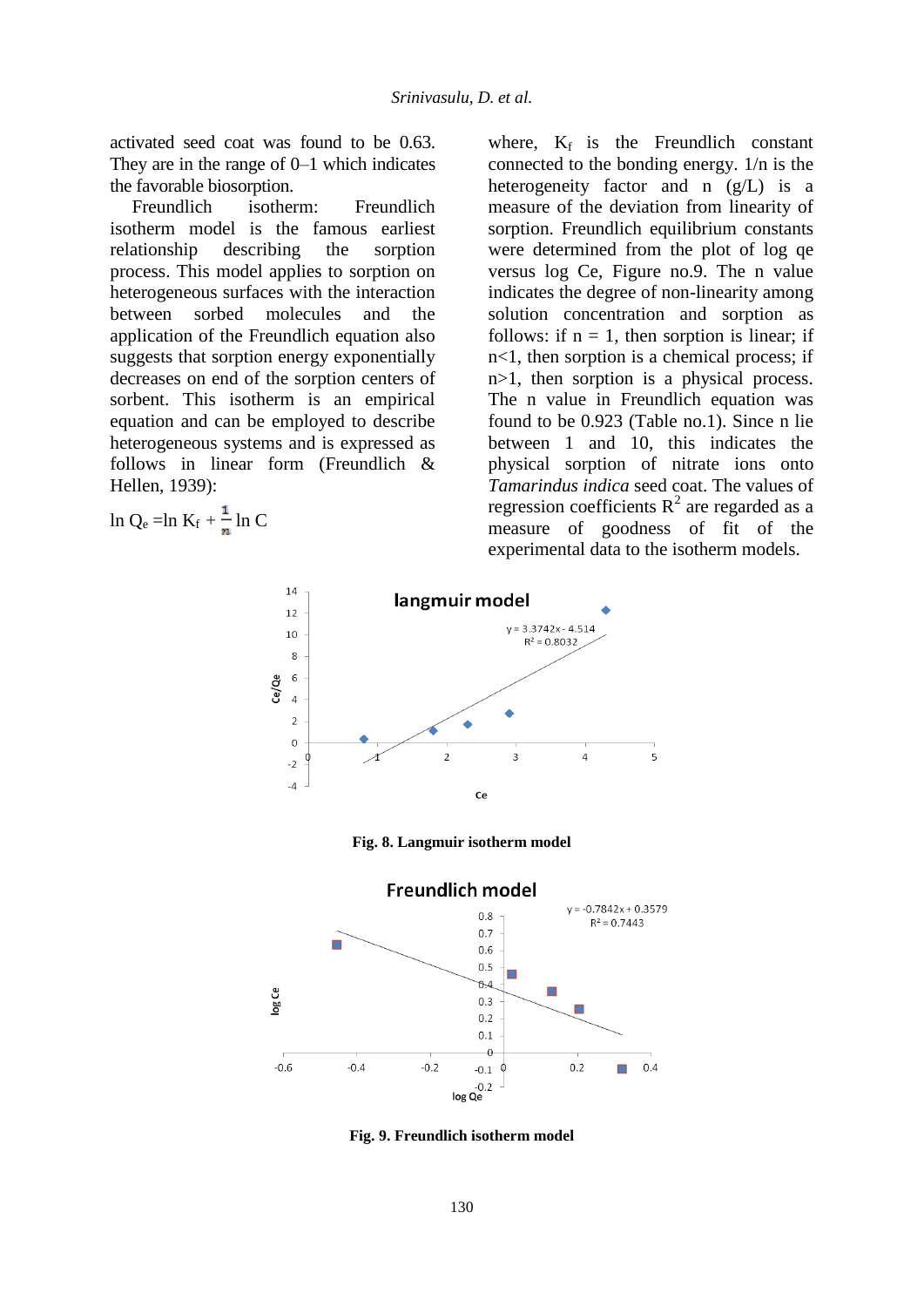activated seed coat was found to be 0.63. They are in the range of 0–1 which indicates the favorable biosorption.

Freundlich isotherm: Freundlich isotherm model is the famous earliest relationship describing the sorption process. This model applies to sorption on heterogeneous surfaces with the interaction between sorbed molecules and the application of the Freundlich equation also suggests that sorption energy exponentially decreases on end of the sorption centers of sorbent. This isotherm is an empirical equation and can be employed to describe heterogeneous systems and is expressed as follows in linear form (Freundlich & Hellen, 1939):

$$
\ln Q_e = \ln K_f + \frac{1}{n} \ln C
$$

where,  $K_f$  is the Freundlich constant connected to the bonding energy. 1/n is the heterogeneity factor and n (g/L) is a measure of the deviation from linearity of sorption. Freundlich equilibrium constants were determined from the plot of log qe versus log Ce, Figure no.9. The n value indicates the degree of non-linearity among solution concentration and sorption as follows: if  $n = 1$ , then sorption is linear; if n<1, then sorption is a chemical process; if n>1, then sorption is a physical process. The n value in Freundlich equation was found to be 0.923 (Table no.1). Since n lie between 1 and 10, this indicates the physical sorption of nitrate ions onto *Tamarindus indica* seed coat. The values of regression coefficients  $R^2$  are regarded as a measure of goodness of fit of the experimental data to the isotherm models.







**Fig. 9. Freundlich isotherm model**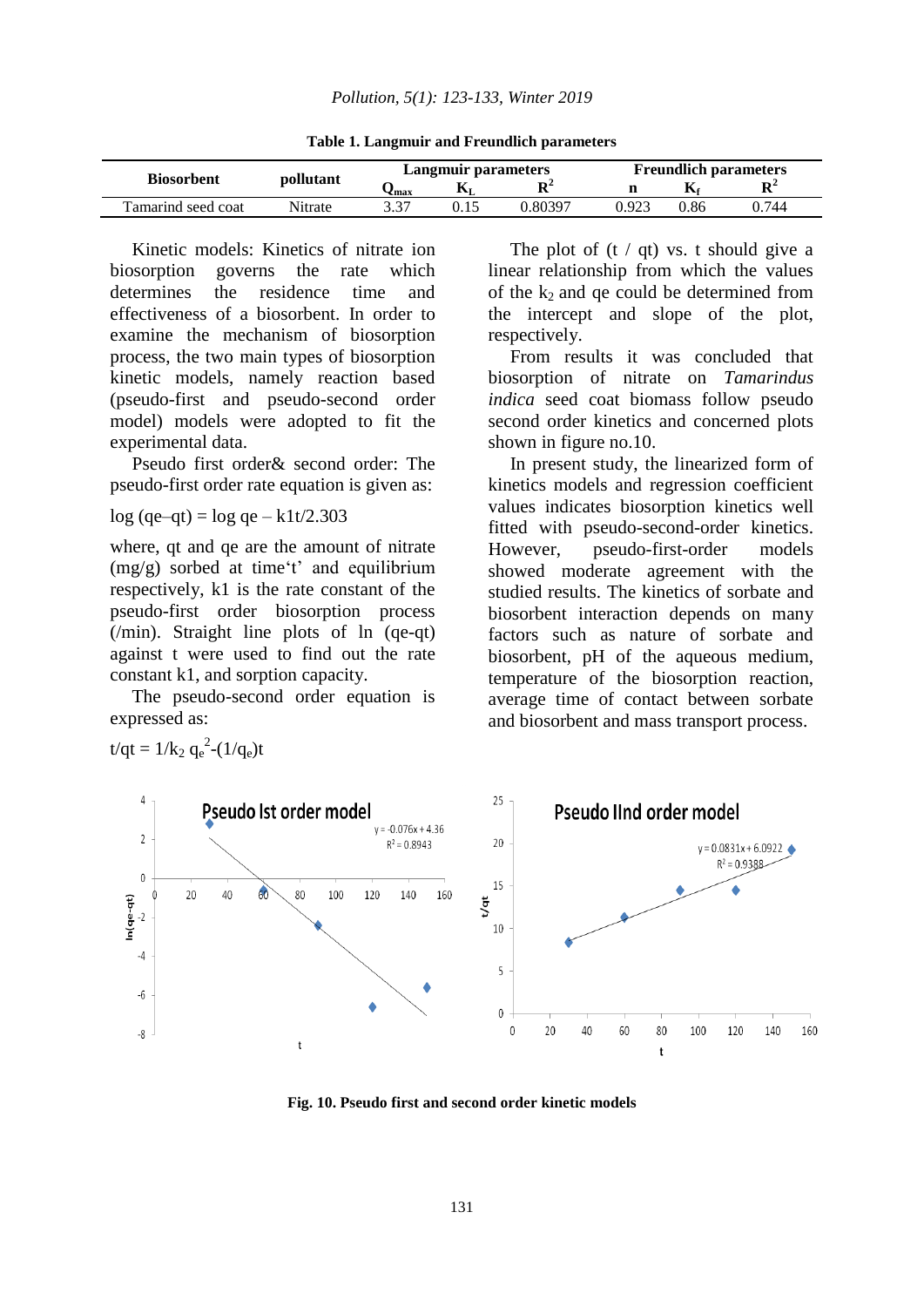**Table 1. Langmuir and Freundlich parameters** 

| <b>Biosorbent</b>   | pollutant | Langmuir parameters |      |         | <b>Freundlich parameters</b> |              |                |
|---------------------|-----------|---------------------|------|---------|------------------------------|--------------|----------------|
|                     |           | ✔max                | M    | D'      |                              | $\mathbf{r}$ | D <sup>4</sup> |
| l'amarind seed coat | Nitrate   | ר ר<br>כ.כ          | J.I. | 0.80397 | .923                         | 0.86         | ).744          |

Kinetic models: Kinetics of nitrate ion biosorption governs the rate which determines the residence time and effectiveness of a biosorbent. In order to examine the mechanism of biosorption process, the two main types of biosorption kinetic models, namely reaction based (pseudo-first and pseudo-second order model) models were adopted to fit the experimental data.

Pseudo first order& second order: The pseudo-first order rate equation is given as:

log (qe–qt) = log qe – k1t/2.303

where, qt and qe are the amount of nitrate (mg/g) sorbed at time't' and equilibrium respectively, k1 is the rate constant of the pseudo-first order biosorption process (/min). Straight line plots of ln (qe-qt) against t were used to find out the rate constant k1, and sorption capacity.

The pseudo-second order equation is expressed as:

t/qt =  $1/k_2$  q<sub>e</sub><sup>2</sup>-( $1/q_e$ )t

The plot of  $(t / qt)$  vs. t should give a linear relationship from which the values of the  $k_2$  and ge could be determined from the intercept and slope of the plot, respectively.

From results it was concluded that biosorption of nitrate on *Tamarindus indica* seed coat biomass follow pseudo second order kinetics and concerned plots shown in figure no.10.

In present study, the linearized form of kinetics models and regression coefficient values indicates biosorption kinetics well fitted with pseudo-second-order kinetics. However, pseudo-first-order models showed moderate agreement with the studied results. The kinetics of sorbate and biosorbent interaction depends on many factors such as nature of sorbate and biosorbent, pH of the aqueous medium, temperature of the biosorption reaction, average time of contact between sorbate and biosorbent and mass transport process.



**Fig. 10. Pseudo first and second order kinetic models**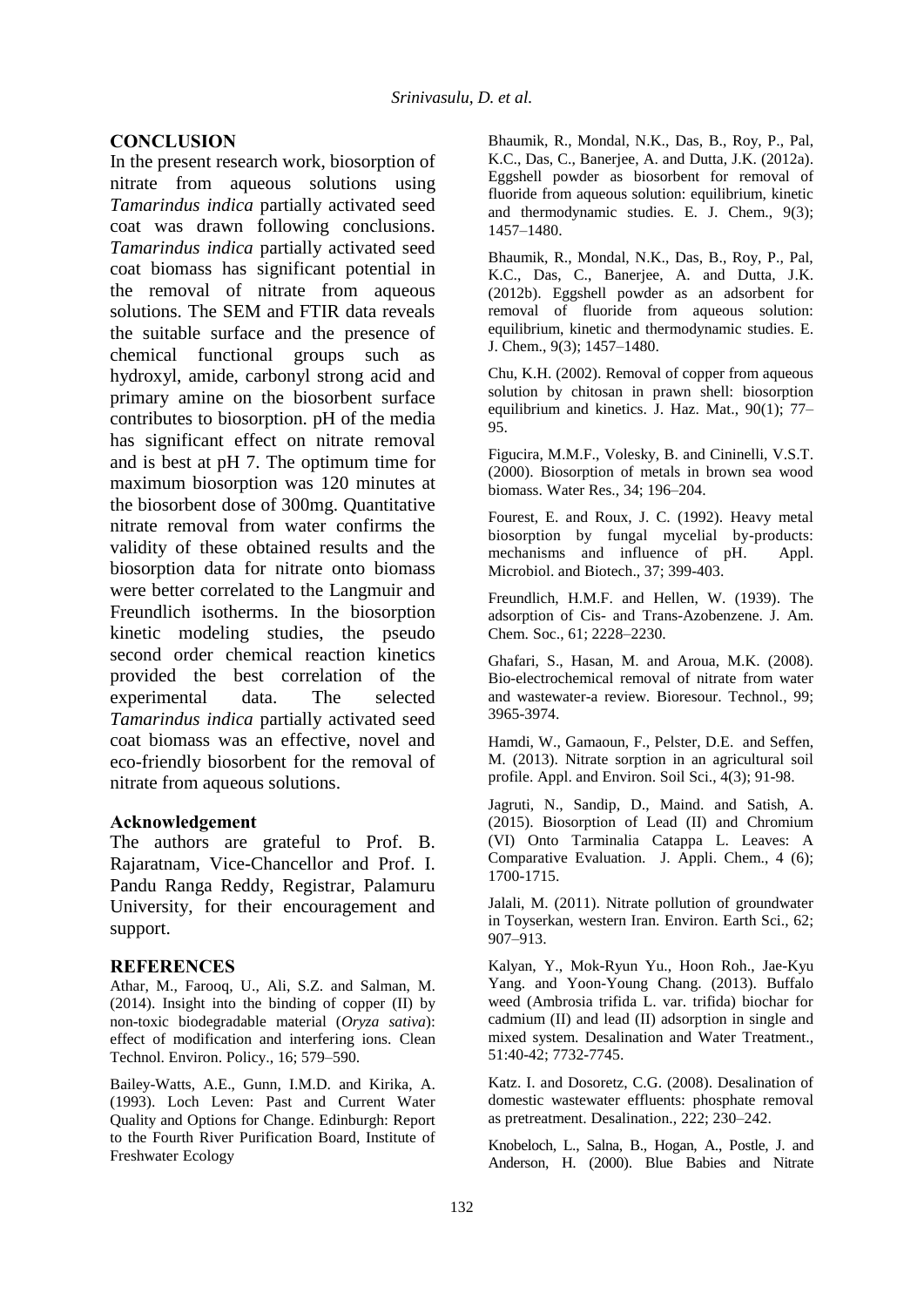### **CONCLUSION**

In the present research work, biosorption of nitrate from aqueous solutions using *Tamarindus indica* partially activated seed coat was drawn following conclusions. *Tamarindus indica* partially activated seed coat biomass has significant potential in the removal of nitrate from aqueous solutions. The SEM and FTIR data reveals the suitable surface and the presence of chemical functional groups such as hydroxyl, amide, carbonyl strong acid and primary amine on the biosorbent surface contributes to biosorption. pH of the media has significant effect on nitrate removal and is best at pH 7. The optimum time for maximum biosorption was 120 minutes at the biosorbent dose of 300mg. Quantitative nitrate removal from water confirms the validity of these obtained results and the biosorption data for nitrate onto biomass were better correlated to the Langmuir and Freundlich isotherms. In the biosorption kinetic modeling studies, the pseudo second order chemical reaction kinetics provided the best correlation of the experimental data. The selected *Tamarindus indica* partially activated seed coat biomass was an effective, novel and eco-friendly biosorbent for the removal of nitrate from aqueous solutions.

#### **Acknowledgement**

The authors are grateful to Prof. B. Rajaratnam, Vice-Chancellor and Prof. I. Pandu Ranga Reddy, Registrar, Palamuru University, for their encouragement and support.

### **REFERENCES**

Athar, M., Farooq, U., Ali, S.Z. and Salman, M. (2014). Insight into the binding of copper (II) by non-toxic biodegradable material (*Oryza sativa*): effect of modification and interfering ions. Clean Technol. Environ. Policy., 16; 579–590.

Bailey-Watts, A.E., Gunn, I.M.D. and Kirika, A. (1993). Loch Leven: Past and Current Water Quality and Options for Change. Edinburgh: Report to the Fourth River Purification Board, Institute of Freshwater Ecology

Bhaumik, R., Mondal, N.K., Das, B., Roy, P., Pal, K.C., Das, C., Banerjee, A. and Dutta, J.K. (2012a). Eggshell powder as biosorbent for removal of fluoride from aqueous solution: equilibrium, kinetic and thermodynamic studies. E. J. Chem., 9(3); 1457–1480.

Bhaumik, R., Mondal, N.K., Das, B., Roy, P., Pal, K.C., Das, C., Banerjee, A. and Dutta, J.K. (2012b). Eggshell powder as an adsorbent for removal of fluoride from aqueous solution: equilibrium, kinetic and thermodynamic studies. E. J. Chem., 9(3); 1457–1480.

Chu, K.H. (2002). Removal of copper from aqueous solution by chitosan in prawn shell: biosorption equilibrium and kinetics. J. Haz. Mat., 90(1); 77– 95.

Figucira, M.M.F., Volesky, B. and Cininelli, V.S.T. (2000). Biosorption of metals in brown sea wood biomass. Water Res., 34; 196–204.

Fourest, E. and Roux, J. C. (1992). Heavy metal biosorption by fungal mycelial by-products: mechanisms and influence of pH. Appl. Microbiol. and Biotech., 37; 399-403.

Freundlich, H.M.F. and Hellen, W. (1939). The adsorption of Cis- and Trans-Azobenzene. J. Am. Chem. Soc., 61; 2228–2230.

Ghafari, S., Hasan, M. and Aroua, M.K. (2008). Bio-electrochemical removal of nitrate from water and wastewater-a review. Bioresour. Technol., 99; 3965-3974.

Hamdi, W., Gamaoun, F., Pelster, D.E. and Seffen, M. (2013). Nitrate sorption in an agricultural soil profile. Appl. and Environ. Soil Sci., 4(3); 91-98.

Jagruti, N., Sandip, D., Maind. and Satish, A. (2015). Biosorption of Lead (II) and Chromium (VI) Onto Tarminalia Catappa L. Leaves: A Comparative Evaluation. J. Appli. Chem., 4 (6); 1700-1715.

Jalali, M. (2011). Nitrate pollution of groundwater in Toyserkan, western Iran. Environ. Earth Sci., 62; 907–913.

Kalyan, Y., Mok-Ryun Yu., Hoon Roh., Jae-Kyu Yang. and Yoon-Young Chang. (2013). Buffalo weed (Ambrosia trifida L. var. trifida) biochar for cadmium (II) and lead (II) adsorption in single and mixed system. Desalination and Water Treatment., 51:40-42; 7732-7745.

Katz. I. and Dosoretz, C.G. (2008). Desalination of domestic wastewater effluents: phosphate removal as pretreatment. Desalination., 222; 230–242.

Knobeloch, L., Salna, B., Hogan, A., Postle, J. and Anderson, H. (2000). Blue Babies and Nitrate